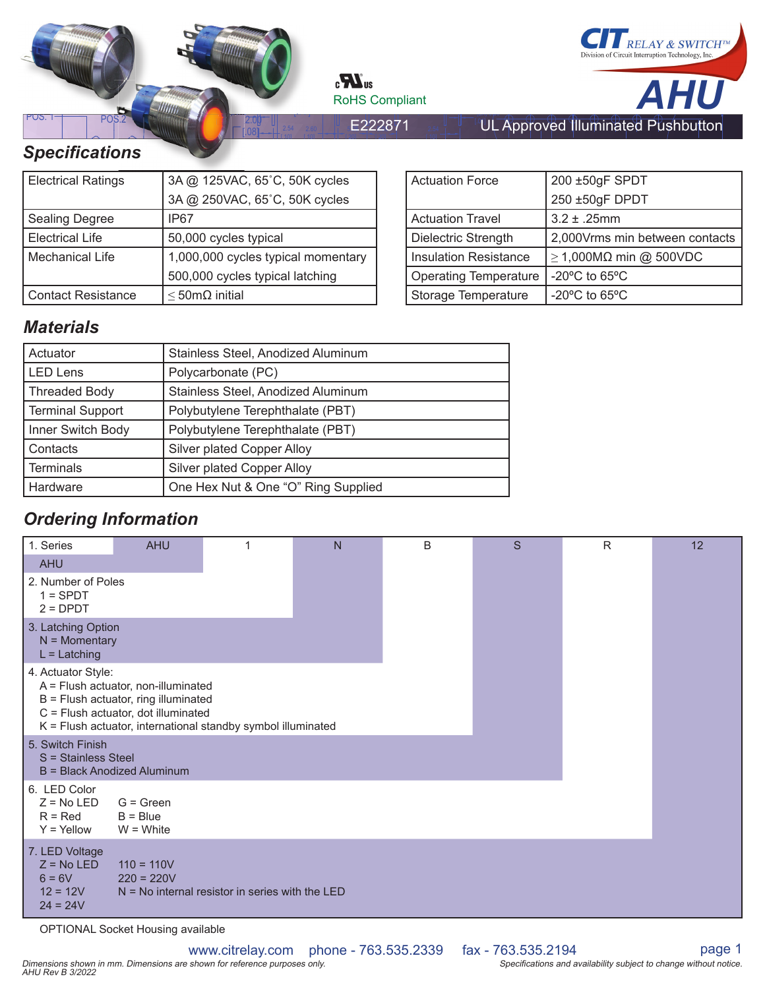

 $\mathbf{c}$ **N**<sub>us</sub> RoHS Compliant



 $5 = L/LC$ [ 20]

[ 10]

[ 20]

[ 10]

# **Specifications**

| <b>Electrical Ratings</b> | 3A @ 125VAC, 65°C, 50K cycles      |
|---------------------------|------------------------------------|
|                           | 3A @ 250VAC, 65°C, 50K cycles      |
| <b>Sealing Degree</b>     | IP67                               |
| <b>Electrical Life</b>    | 50,000 cycles typical              |
| Mechanical Life           | 1,000,000 cycles typical momentary |
|                           | 500,000 cycles typical latching    |
| <b>Contact Resistance</b> | $\leq$ 50m $\Omega$ initial        |

| <b>Actuation Force</b>       | 200 ±50gF SPDT                                      |  |  |  |  |
|------------------------------|-----------------------------------------------------|--|--|--|--|
|                              | 250 ±50gF DPDT                                      |  |  |  |  |
| <b>Actuation Travel</b>      | $3.2 \pm .25$ mm                                    |  |  |  |  |
| Dielectric Strength          | 2,000Vrms min between contacts                      |  |  |  |  |
| <b>Insulation Resistance</b> | $\geq$ 1,000MΩ min @ 500VDC                         |  |  |  |  |
| <b>Operating Temperature</b> | -20 $\mathrm{^{\circ}C}$ to 65 $\mathrm{^{\circ}C}$ |  |  |  |  |
| <b>Storage Temperature</b>   | $-20^{\circ}$ C to 65 $^{\circ}$ C                  |  |  |  |  |

UL Approved Illuminated Pushbutton

## *Materials*

| Actuator                | Stainless Steel, Anodized Aluminum  |
|-------------------------|-------------------------------------|
| <b>LED Lens</b>         | Polycarbonate (PC)                  |
| <b>Threaded Body</b>    | Stainless Steel, Anodized Aluminum  |
| <b>Terminal Support</b> | Polybutylene Terephthalate (PBT)    |
| Inner Switch Body       | Polybutylene Terephthalate (PBT)    |
| Contacts                | Silver plated Copper Alloy          |
| <b>Terminals</b>        | Silver plated Copper Alloy          |
| Hardware                | One Hex Nut & One "O" Ring Supplied |

# *Ordering Information*

| 1. Series                                                              | <b>AHU</b>                                                                                                                                                                         |                                                   | $\mathsf{N}$ | B | S | $\mathsf{R}$ | 12 |
|------------------------------------------------------------------------|------------------------------------------------------------------------------------------------------------------------------------------------------------------------------------|---------------------------------------------------|--------------|---|---|--------------|----|
| <b>AHU</b>                                                             |                                                                                                                                                                                    |                                                   |              |   |   |              |    |
| 2. Number of Poles<br>$1 =$ SPDT<br>$2 = D$ PDT                        |                                                                                                                                                                                    |                                                   |              |   |   |              |    |
| 3. Latching Option<br>$N =$ Momentary<br>$L =$ Latching                |                                                                                                                                                                                    |                                                   |              |   |   |              |    |
| 4. Actuator Style:                                                     | A = Flush actuator, non-illuminated<br>B = Flush actuator, ring illuminated<br>C = Flush actuator, dot illuminated<br>K = Flush actuator, international standby symbol illuminated |                                                   |              |   |   |              |    |
| 5. Switch Finish<br>S = Stainless Steel                                | <b>B</b> = Black Anodized Aluminum                                                                                                                                                 |                                                   |              |   |   |              |    |
| 6. LED Color<br>$Z = No LED$<br>$R = Red$<br>$Y =$ Yellow              | $G = Green$<br>$B = Blue$<br>$W = White$                                                                                                                                           |                                                   |              |   |   |              |    |
| 7. LED Voltage<br>$Z = No LED$<br>$6 = 6V$<br>$12 = 12V$<br>$24 = 24V$ | $110 = 110V$<br>$220 = 220V$                                                                                                                                                       | $N = No$ internal resistor in series with the LED |              |   |   |              |    |

OPTIONAL Socket Housing available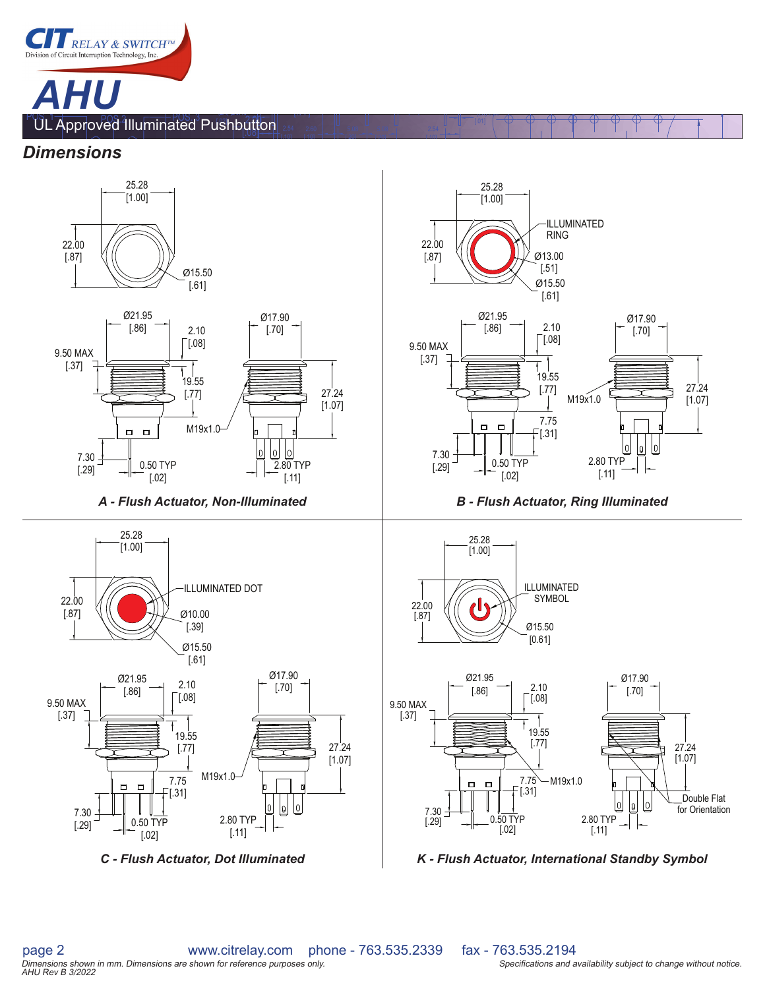

[.10]

[ 10]

[ 20]

[ 20]

[ 10]

(2X) 0.30

#### *Dimensions*



*C - Flush Actuator, Dot Illuminated K - Flush Actuator, International Standby Symbol*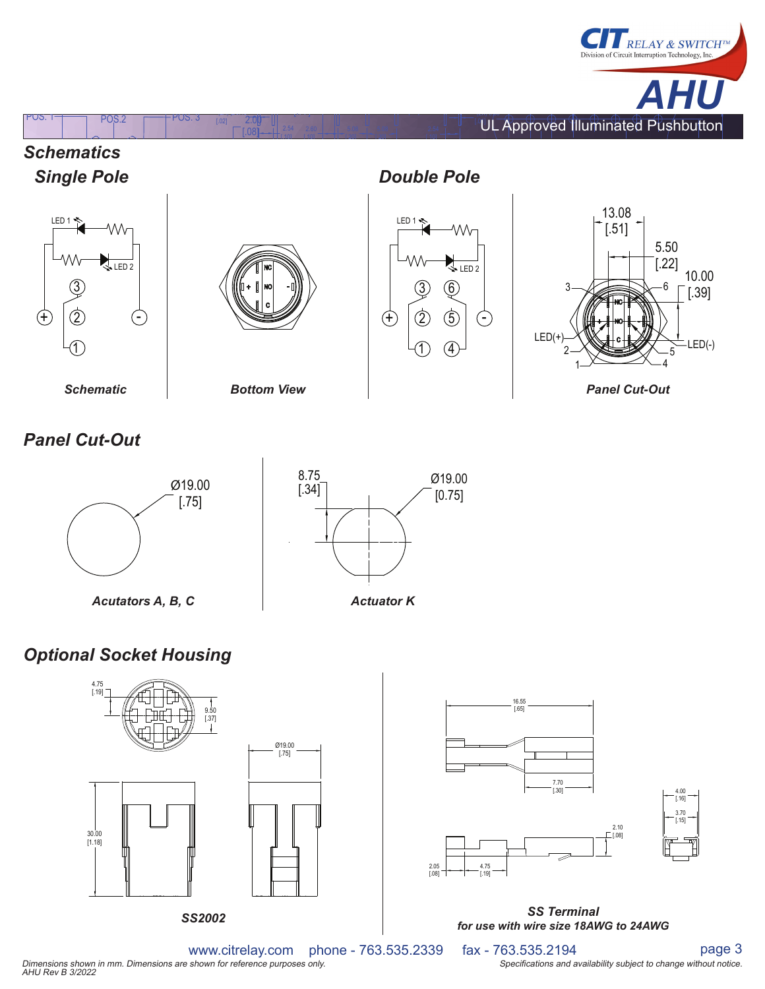







[.10]

[ 10]

(2X) Q0.40

[.02] [ ] POS. 1 POS.2 POS. 3 [.77] 2.00

[ 20]

[ 20]

2 3  $(5)$  $6\phantom{.}6$ LED 1  $\sqrt{\text{LED 2}}$ 

1

4

[ 10]

*Double Pole*



*Schematic Bottom View Panel Cut-Out*

# *Panel Cut-Out*





# *Optional Socket Housing*





www.citrelay.com phone - 763.535.2339 fax - 763.535.2194 page 3<br>shown for reference purposes only. Dimensions shown in mm. Dimensions are shown for reference purposes only. Notation the state of the state of the Specifications and availability subject to change without notice. AHU Rev B 3/2022<br>AHU Rev B 3/2022 page 3